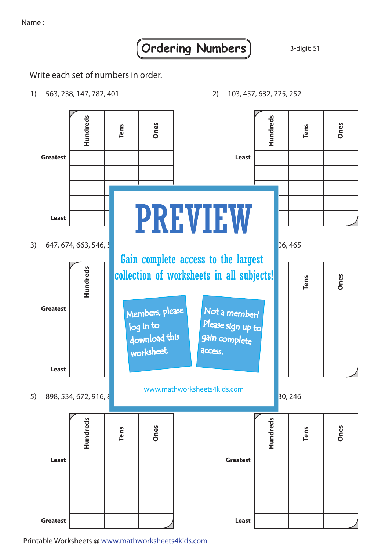Name :

## **Ordering Numbers** 3-digit: S1

2) 103, 457, 632, 225, 252

Write each set of numbers in order.

1) 563, 238, 147, 782, 401



Printable Worksheets @ www.mathworksheets4kids.com